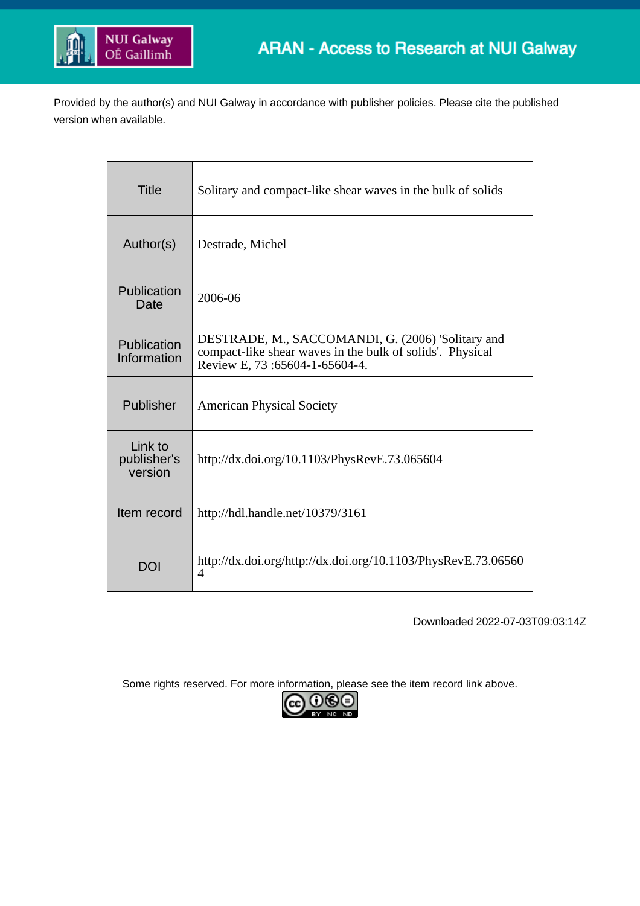

Provided by the author(s) and NUI Galway in accordance with publisher policies. Please cite the published version when available.

| <b>Title</b>                      | Solitary and compact-like shear waves in the bulk of solids                                                                                     |
|-----------------------------------|-------------------------------------------------------------------------------------------------------------------------------------------------|
| Author(s)                         | Destrade, Michel                                                                                                                                |
| Publication<br>Date               | 2006-06                                                                                                                                         |
| Publication<br>Information        | DESTRADE, M., SACCOMANDI, G. (2006) 'Solitary and<br>compact-like shear waves in the bulk of solids'. Physical<br>Review E, 73:65604-1-65604-4. |
| Publisher                         | <b>American Physical Society</b>                                                                                                                |
| Link to<br>publisher's<br>version | http://dx.doi.org/10.1103/PhysRevE.73.065604                                                                                                    |
| Item record                       | http://hdl.handle.net/10379/3161                                                                                                                |
| DOI                               | http://dx.doi.org/http://dx.doi.org/10.1103/PhysRevE.73.06560<br>4                                                                              |

Downloaded 2022-07-03T09:03:14Z

Some rights reserved. For more information, please see the item record link above.

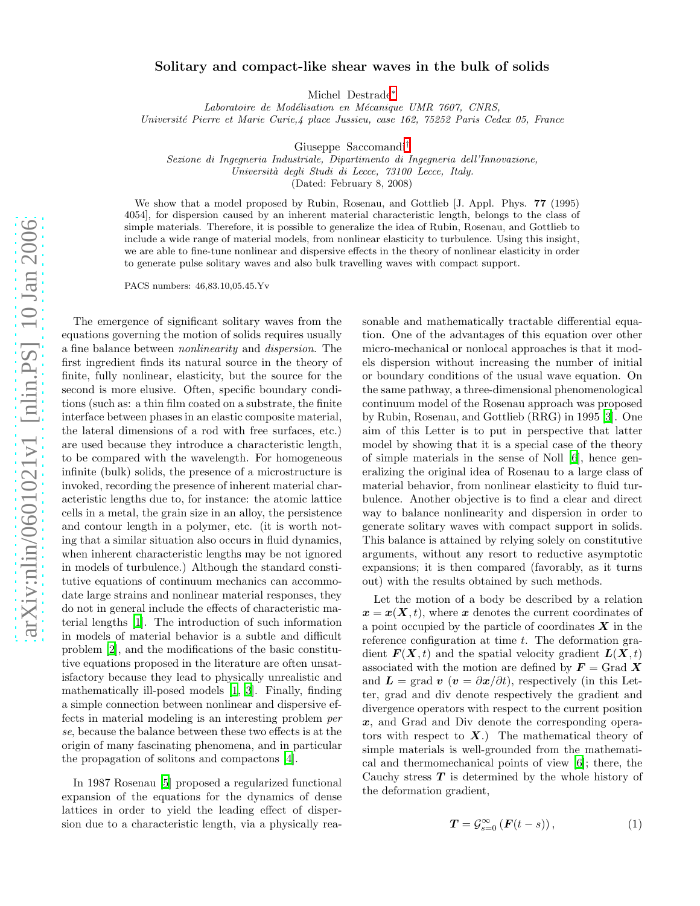## Solitary and compact-like shear waves in the bulk of solids

Michel Destrade[∗](#page-4-0)

Laboratoire de Modélisation en Mécanique UMR 7607, CNRS, Université Pierre et Marie Curie,4 place Jussieu, case 162, 75252 Paris Cedex 05, France

Giuseppe Saccomandi[†](#page-4-1)

Sezione di Ingegneria Industriale, Dipartimento di Ingegneria dell'Innovazione, Universit`a degli Studi di Lecce, 73100 Lecce, Italy.

(Dated: February 8, 2008)

We show that a model proposed by Rubin, Rosenau, and Gottlieb [J. Appl. Phys. 77 (1995) 4054], for dispersion caused by an inherent material characteristic length, belongs to the class of simple materials. Therefore, it is possible to generalize the idea of Rubin, Rosenau, and Gottlieb to include a wide range of material models, from nonlinear elasticity to turbulence. Using this insight, we are able to fine-tune nonlinear and dispersive effects in the theory of nonlinear elasticity in order to generate pulse solitary waves and also bulk travelling waves with compact support.

PACS numbers: 46,83.10,05.45.Yv

The emergence of significant solitary waves from the equations governing the motion of solids requires usually a fine balance between nonlinearity and dispersion. The first ingredient finds its natural source in the theory of finite, fully nonlinear, elasticity, but the source for the second is more elusive. Often, specific boundary conditions (such as: a thin film coated on a substrate, the finite interface between phases in an elastic composite material, the lateral dimensions of a rod with free surfaces, etc.) are used because they introduce a characteristic length, to be compared with the wavelength. For homogeneous infinite (bulk) solids, the presence of a microstructure is invoked, recording the presence of inherent material characteristic lengths due to, for instance: the atomic lattice cells in a metal, the grain size in an alloy, the persistence and contour length in a polymer, etc. (it is worth noting that a similar situation also occurs in fluid dynamics, when inherent characteristic lengths may be not ignored in models of turbulence.) Although the standard constitutive equations of continuum mechanics can accommodate large strains and nonlinear material responses, they do not in general include the effects of characteristic material lengths [\[1](#page-4-2)]. The introduction of such information in models of material behavior is a subtle and difficult problem [\[2\]](#page-4-3), and the modifications of the basic constitutive equations proposed in the literature are often unsatisfactory because they lead to physically unrealistic and mathematically ill-posed models [\[1,](#page-4-2) [3\]](#page-4-4). Finally, finding a simple connection between nonlinear and dispersive effects in material modeling is an interesting problem per se, because the balance between these two effects is at the origin of many fascinating phenomena, and in particular the propagation of solitons and compactons [\[4](#page-4-5)].

In 1987 Rosenau [\[5\]](#page-4-6) proposed a regularized functional expansion of the equations for the dynamics of dense lattices in order to yield the leading effect of dispersion due to a characteristic length, via a physically reasonable and mathematically tractable differential equation. One of the advantages of this equation over other micro-mechanical or nonlocal approaches is that it models dispersion without increasing the number of initial or boundary conditions of the usual wave equation. On the same pathway, a three-dimensional phenomenological continuum model of the Rosenau approach was proposed by Rubin, Rosenau, and Gottlieb (RRG) in 1995 [\[3\]](#page-4-4). One aim of this Letter is to put in perspective that latter model by showing that it is a special case of the theory of simple materials in the sense of Noll [\[6](#page-4-7)], hence generalizing the original idea of Rosenau to a large class of material behavior, from nonlinear elasticity to fluid turbulence. Another objective is to find a clear and direct way to balance nonlinearity and dispersion in order to generate solitary waves with compact support in solids. This balance is attained by relying solely on constitutive arguments, without any resort to reductive asymptotic expansions; it is then compared (favorably, as it turns out) with the results obtained by such methods.

Let the motion of a body be described by a relation  $x = x(X, t)$ , where x denotes the current coordinates of a point occupied by the particle of coordinates  $X$  in the reference configuration at time  $t$ . The deformation gradient  $F(X, t)$  and the spatial velocity gradient  $L(X, t)$ associated with the motion are defined by  $\mathbf{F} = \text{Grad } \mathbf{X}$ and  $\mathbf{L} = \text{grad } \mathbf{v} \; (\mathbf{v} = \partial \mathbf{x}/\partial t),$  respectively (in this Letter, grad and div denote respectively the gradient and divergence operators with respect to the current position x, and Grad and Div denote the corresponding operators with respect to  $X$ .) The mathematical theory of simple materials is well-grounded from the mathematical and thermomechanical points of view [\[6\]](#page-4-7); there, the Cauchy stress  $T$  is determined by the whole history of the deformation gradient,

<span id="page-1-0"></span>
$$
T = \mathcal{G}_{s=0}^{\infty} \left( \mathbf{F}(t-s) \right), \tag{1}
$$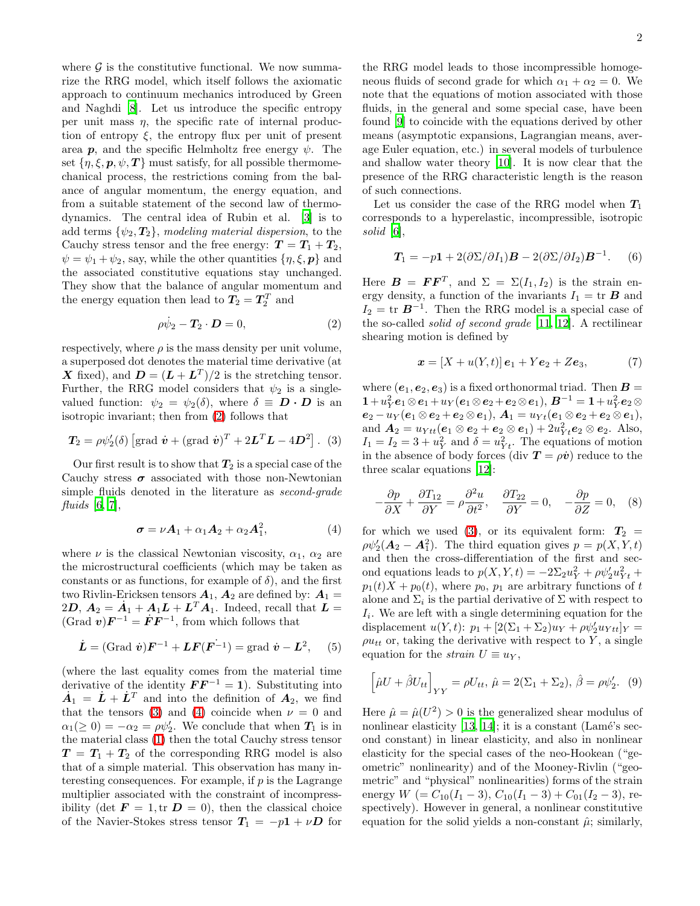where  $\mathcal G$  is the constitutive functional. We now summarize the RRG model, which itself follows the axiomatic approach to continuum mechanics introduced by Green and Naghdi [\[8\]](#page-4-8). Let us introduce the specific entropy per unit mass  $\eta$ , the specific rate of internal production of entropy  $\xi$ , the entropy flux per unit of present area  $p$ , and the specific Helmholtz free energy  $\psi$ . The set  $\{\eta, \xi, p, \psi, T\}$  must satisfy, for all possible thermomechanical process, the restrictions coming from the balance of angular momentum, the energy equation, and from a suitable statement of the second law of thermodynamics. The central idea of Rubin et al. [\[3\]](#page-4-4) is to add terms  $\{\psi_2, T_2\}$ , modeling material dispersion, to the Cauchy stress tensor and the free energy:  $T = T_1 + T_2$ ,  $\psi = \psi_1 + \psi_2$ , say, while the other quantities  $\{\eta, \xi, p\}$  and the associated constitutive equations stay unchanged. They show that the balance of angular momentum and the energy equation then lead to  $T_2 = T_2^T$  and

<span id="page-2-1"></span><span id="page-2-0"></span>
$$
\rho \dot{\psi}_2 - \mathbf{T}_2 \cdot \mathbf{D} = 0, \tag{2}
$$

respectively, where  $\rho$  is the mass density per unit volume, a superposed dot denotes the material time derivative (at X fixed), and  $\mathbf{D} = (\mathbf{L} + \mathbf{L}^T)/2$  is the stretching tensor. Further, the RRG model considers that  $\psi_2$  is a singlevalued function:  $\psi_2 = \psi_2(\delta)$ , where  $\delta \equiv \mathbf{D} \cdot \mathbf{D}$  is an isotropic invariant; then from [\(2\)](#page-2-0) follows that

$$
T_2 = \rho \psi_2'(\delta) \left[ \text{grad } \dot{v} + (\text{grad } \dot{v})^T + 2L^T L - 4D^2 \right]. \tag{3}
$$

<span id="page-2-2"></span>Our first result is to show that  $T_2$  is a special case of the Cauchy stress  $\sigma$  associated with those non-Newtonian simple fluids denoted in the literature as second-grade fluids  $[6, 7]$  $[6, 7]$  $[6, 7]$  $[6, 7]$ ,

$$
\boldsymbol{\sigma} = \nu \boldsymbol{A}_1 + \alpha_1 \boldsymbol{A}_2 + \alpha_2 \boldsymbol{A}_1^2, \tag{4}
$$

where  $\nu$  is the classical Newtonian viscosity,  $\alpha_1$ ,  $\alpha_2$  are the microstructural coefficients (which may be taken as constants or as functions, for example of  $\delta$ , and the first two Rivlin-Ericksen tensors  $A_1$ ,  $A_2$  are defined by:  $A_1 =$  $2D, A_2 = \dot{A}_1 + A_1 L + L^T A_1$ . Indeed, recall that  $L =$  $(\text{Grad } v)F^{-1} = \dot{F}F^{-1}$ , from which follows that

$$
\dot{L} = (\text{Grad } \dot{v})F^{-1} + LF(F^{-1}) = \text{grad } \dot{v} - L^2, \quad (5)
$$

(where the last equality comes from the material time derivative of the identity  $\boldsymbol{F} \boldsymbol{F}^{-1} = 1$ . Substituting into  $\dot{A}_1 = \dot{L} + \dot{L}^T$  and into the definition of  $A_2$ , we find that the tensors [\(3\)](#page-2-1) and [\(4\)](#page-2-2) coincide when  $\nu = 0$  and  $\alpha_1(\geq 0) = -\alpha_2 = \rho \psi'_2$ . We conclude that when  $T_1$  is in the material class [\(1\)](#page-1-0) then the total Cauchy stress tensor  $T = T_1 + T_2$  of the corresponding RRG model is also that of a simple material. This observation has many interesting consequences. For example, if  $p$  is the Lagrange multiplier associated with the constraint of incompressibility (det  $\mathbf{F} = 1$ , tr  $\mathbf{D} = 0$ ), then the classical choice of the Navier-Stokes stress tensor  $T_1 = -p1 + \nu D$  for

the RRG model leads to those incompressible homogeneous fluids of second grade for which  $\alpha_1 + \alpha_2 = 0$ . We note that the equations of motion associated with those fluids, in the general and some special case, have been found [\[9](#page-4-10)] to coincide with the equations derived by other means (asymptotic expansions, Lagrangian means, average Euler equation, etc.) in several models of turbulence and shallow water theory [\[10\]](#page-4-11). It is now clear that the presence of the RRG characteristic length is the reason of such connections.

Let us consider the case of the RRG model when  $T_1$ corresponds to a hyperelastic, incompressible, isotropic solid [\[6\]](#page-4-7),

$$
T_1 = -p1 + 2(\partial \Sigma / \partial I_1)B - 2(\partial \Sigma / \partial I_2)B^{-1}.
$$
 (6)

Here  $\boldsymbol{B} = \boldsymbol{F} \boldsymbol{F}^T$ , and  $\Sigma = \Sigma(I_1, I_2)$  is the strain energy density, a function of the invariants  $I_1 = \text{tr } B$  and  $I_2 = \text{tr } \mathbf{B}^{-1}$ . Then the RRG model is a special case of the so-called solid of second grade [\[11](#page-4-12), [12\]](#page-4-13). A rectilinear shearing motion is defined by

$$
\mathbf{x} = [X + u(Y, t)] \, \mathbf{e}_1 + Y \mathbf{e}_2 + Z \mathbf{e}_3,\tag{7}
$$

where  $(e_1, e_2, e_3)$  is a fixed orthonormal triad. Then  $\mathbf{B} =$  ${\bf 1} + u_Y^2{\bm e}_1\otimes {\bm e}_1 + u_Y({\bm e}_1\otimes {\bm e}_2 + {\bm e}_2\otimes {\bm e}_1), \, {\bm B}^{-1} = {\bf 1} + u_Y^2{\bm e}_2\otimes {\bm e}_2.$  $e_2 - u_Y(e_1 \otimes e_2 + e_2 \otimes e_1), A_1 = u_{Yt}(e_1 \otimes e_2 + e_2 \otimes e_1),$ and  $A_2 = u_{Ytt}(e_1 \otimes e_2 + e_2 \otimes e_1) + 2u_{Yt}^2 e_2 \otimes e_2$ . Also,  $I_1 = I_2 = 3 + u_Y^2$  and  $\delta = u_{Yt}^2$ . The equations of motion in the absence of body forces (div  $\mathbf{T} = \rho \dot{\mathbf{v}}$ ) reduce to the three scalar equations [\[12](#page-4-13)]:

$$
-\frac{\partial p}{\partial X} + \frac{\partial T_{12}}{\partial Y} = \rho \frac{\partial^2 u}{\partial t^2}, \quad \frac{\partial T_{22}}{\partial Y} = 0, \quad -\frac{\partial p}{\partial Z} = 0, \quad (8)
$$

for which we used [\(3\)](#page-2-1), or its equivalent form:  $T_2 =$  $\rho \psi_2' (A_2 - A_1^2)$ . The third equation gives  $p = p(X, Y, t)$ and then the cross-differentiation of the first and second equations leads to  $p(X, Y, t) = -2\Sigma_2 u_Y^2 + \rho \psi_2' u_{Yt}^2 +$  $p_1(t)X + p_0(t)$ , where  $p_0$ ,  $p_1$  are arbitrary functions of t alone and  $\Sigma_i$  is the partial derivative of  $\Sigma$  with respect to  $I_i$ . We are left with a single determining equation for the displacement  $u(Y, t)$ :  $p_1 + [2(\Sigma_1 + \Sigma_2)u_Y + \rho \psi'_2 u_{Ytt}]_Y =$  $\rho u_{tt}$  or, taking the derivative with respect to Y, a single equation for the *strain*  $U \equiv u_Y$ ,

<span id="page-2-3"></span>
$$
\left[\hat{\mu}U + \hat{\beta}U_{tt}\right]_{YY} = \rho U_{tt}, \,\hat{\mu} = 2(\Sigma_1 + \Sigma_2), \,\hat{\beta} = \rho \psi_2'. \tag{9}
$$

Here  $\hat{\mu} = \hat{\mu}(U^2) > 0$  is the generalized shear modulus of nonlinear elasticity  $[13, 14]$  $[13, 14]$ ; it is a constant (Lamé's second constant) in linear elasticity, and also in nonlinear elasticity for the special cases of the neo-Hookean ("geometric" nonlinearity) and of the Mooney-Rivlin ("geometric" and "physical" nonlinearities) forms of the strain energy  $W = C_{10}(I_1 - 3), C_{10}(I_1 - 3) + C_{01}(I_2 - 3)$ , respectively). However in general, a nonlinear constitutive equation for the solid yields a non-constant  $\hat{\mu}$ ; similarly,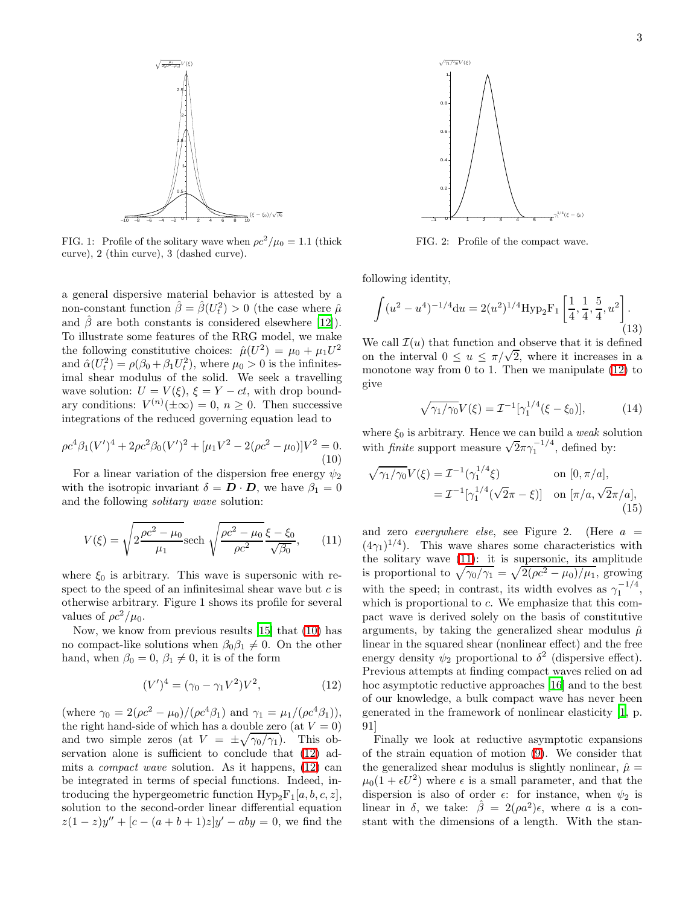

FIG. 1: Profile of the solitary wave when  $\rho c^2 / \mu_0 = 1.1$  (thick curve), 2 (thin curve), 3 (dashed curve).

a general dispersive material behavior is attested by a non-constant function  $\hat{\beta} = \hat{\beta}(U_t^2) > 0$  (the case where  $\hat{\mu}$ and  $\hat{\beta}$  are both constants is considered elsewhere [\[12\]](#page-4-13)). To illustrate some features of the RRG model, we make the following constitutive choices:  $\hat{\mu}(U^2) = \mu_0 + \mu_1 U^2$ and  $\hat{\alpha}(U_t^2) = \rho(\beta_0 + \beta_1 U_t^2)$ , where  $\mu_0 > 0$  is the infinitesimal shear modulus of the solid. We seek a travelling wave solution:  $U = V(\xi)$ ,  $\xi = Y - ct$ , with drop boundary conditions:  $V^{(n)}(\pm \infty) = 0, n \ge 0$ . Then successive integrations of the reduced governing equation lead to

$$
\rho c^4 \beta_1 (V')^4 + 2\rho c^2 \beta_0 (V')^2 + [\mu_1 V^2 - 2(\rho c^2 - \mu_0)]V^2 = 0.
$$
\n(10)

For a linear variation of the dispersion free energy  $\psi_2$ with the isotropic invariant  $\delta = \mathbf{D} \cdot \mathbf{D}$ , we have  $\beta_1 = 0$ and the following solitary wave solution:

<span id="page-3-2"></span>
$$
V(\xi) = \sqrt{2\frac{\rho c^2 - \mu_0}{\mu_1} \text{sech}\sqrt{\frac{\rho c^2 - \mu_0}{\rho c^2}} \frac{\xi - \xi_0}{\sqrt{\beta_0}}},\qquad(11)
$$

where  $\xi_0$  is arbitrary. This wave is supersonic with respect to the speed of an infinitesimal shear wave but  $c$  is otherwise arbitrary. Figure 1 shows its profile for several values of  $\rho c^2/\mu_0$ .

Now, we know from previous results [\[15\]](#page-4-16) that [\(10\)](#page-3-0) has no compact-like solutions when  $\beta_0 \beta_1 \neq 0$ . On the other hand, when  $\beta_0 = 0$ ,  $\beta_1 \neq 0$ , it is of the form

<span id="page-3-1"></span>
$$
(V')^4 = (\gamma_0 - \gamma_1 V^2)V^2, \tag{12}
$$

(where  $\gamma_0 = 2(\rho c^2 - \mu_0)/(\rho c^4 \beta_1)$  and  $\gamma_1 = \mu_1/(\rho c^4 \beta_1)$ ), the right hand-side of which has a double zero (at  $V = 0$ ) and two simple zeros (at  $V = \pm \sqrt{\gamma_0/\gamma_1}$ ). This observation alone is sufficient to conclude that  $(12)$  admits a compact wave solution. As it happens, [\(12\)](#page-3-1) can be integrated in terms of special functions. Indeed, introducing the hypergeometric function  $Hyp_2F_1[a, b, c, z]$ , solution to the second-order linear differential equation  $z(1-z)y'' + [c - (a+b+1)z]y' - aby = 0$ , we find the



FIG. 2: Profile of the compact wave.

following identity,

$$
\int (u^2 - u^4)^{-1/4} du = 2(u^2)^{1/4} \text{Hyp}_2 \text{F}_1 \left[ \frac{1}{4}, \frac{1}{4}, \frac{5}{4}, u^2 \right].
$$
\n(13)

We call  $\mathcal{I}(u)$  that function and observe that it is defined on the interval  $0 \le u \le \pi/\sqrt{2}$ , where it increases in a monotone way from 0 to 1. Then we manipulate [\(12\)](#page-3-1) to give

$$
\sqrt{\gamma_1/\gamma_0}V(\xi) = \mathcal{I}^{-1}[\gamma_1^{1/4}(\xi - \xi_0)],\tag{14}
$$

<span id="page-3-0"></span>where  $\xi_0$  is arbitrary. Hence we can build a weak solution with *finite* support measure  $\sqrt{2}\pi\gamma_1^{-1/4}$ , defined by:

$$
\sqrt{\gamma_1/\gamma_0}V(\xi) = \mathcal{I}^{-1}(\gamma_1^{1/4}\xi) \qquad \text{on } [0, \pi/a],
$$
  
=  $\mathcal{I}^{-1}[\gamma_1^{1/4}(\sqrt{2}\pi - \xi)] \quad \text{on } [\pi/a, \sqrt{2}\pi/a],$  (15)

and zero *everywhere else*, see Figure 2. (Here  $a =$  $(4\gamma_1)^{1/4}$ ). This wave shares some characteristics with the solitary wave [\(11\)](#page-3-2): it is supersonic, its amplitude is proportional to  $\sqrt{\gamma_0/\gamma_1} = \sqrt{2(\rho c^2 - \mu_0)/\mu_1}$ , growing with the speed; in contrast, its width evolves as  $\gamma_1^{-1/4}$ , which is proportional to c. We emphasize that this compact wave is derived solely on the basis of constitutive arguments, by taking the generalized shear modulus  $\hat{\mu}$ linear in the squared shear (nonlinear effect) and the free energy density  $\psi_2$  proportional to  $\delta^2$  (dispersive effect). Previous attempts at finding compact waves relied on ad hoc asymptotic reductive approaches [\[16\]](#page-4-17) and to the best of our knowledge, a bulk compact wave has never been generated in the framework of nonlinear elasticity [\[1](#page-4-2), p. 91]

Finally we look at reductive asymptotic expansions of the strain equation of motion [\(9\)](#page-2-3). We consider that the generalized shear modulus is slightly nonlinear,  $\hat{\mu} =$  $\mu_0(1 + \epsilon U^2)$  where  $\epsilon$  is a small parameter, and that the dispersion is also of order  $\epsilon$ : for instance, when  $\psi_2$  is linear in  $\delta$ , we take:  $\hat{\beta} = 2(\rho a^2)\epsilon$ , where a is a constant with the dimensions of a length. With the stan